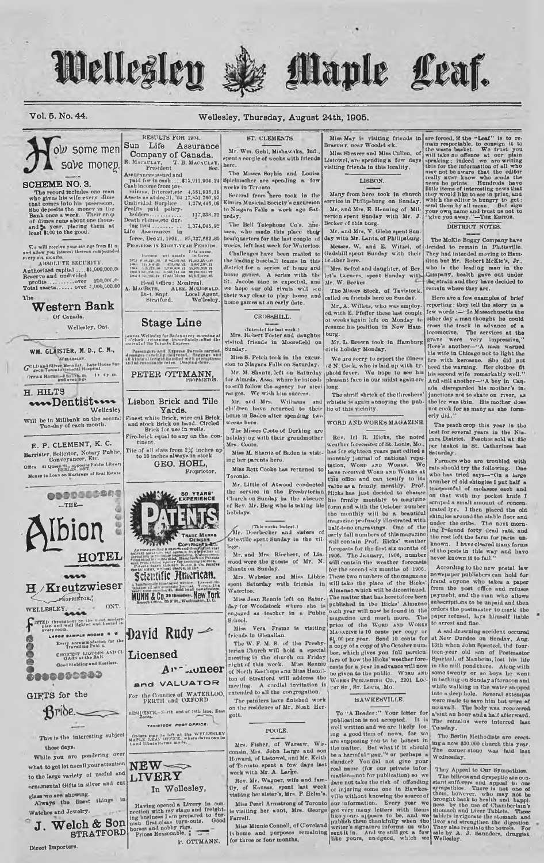## Wellesley





#### Vol. 5. No. 44.

**SCHEME NO. 3.** 

 $\begin{tabular}{l} \hline $\mathsf{C}$ c will receive your savings from $1$ u\\ \hline and allow you interest thereon compounds\\ every slx months. \\ \hline A BSOLUTE BECURITY. \end{tabular}$ 

Authorized capital ....\$1,000,000.00<br>Reserve and undivided<br>profits..............over 250,000.00<br>Total assets....... over  $z_{1000,000.00}$ 

Western Bank

WM. GLAISTER, M. D., C. M.,

**VELLELEY** Gol.Dand Silver Menalist. Late House Sur

OFFICE HOUSE of to line m. 1t fp. m.

wwDentist

Will be in Millbank on the second Tuesday of each month.

E. P. CLEMENT, K. C.

Barrister, Solicitor, Notary Public, Conveyancer, Etc.

Conveyancer, Etc.<br>Office 41 Queen St., opposite Public Library<br>Money to Loan on Mortgage of Real Estate

 $-THE$ 

Ibion

FROPRIETOR,"

OE BANFLE ROOMS # \*

WELLESLEY.

..........

 $Bribe.$ 

This is the interesting subject

While you are pondering ove

glass we are showing.<br>Always the finest things in

J. Welch & Son

**STRATFORD** 

GIFTS for the

them days.

Watches and Jewelry.

Direct Importers.

**ONT** 

Wellesley

H. HILTS

Wellesley, Ont.

Of Canada.

**The** 

#### Wellesley, Thursday, August 24th, 1905.

RESULTS FOR 1904 Sun Life Assurance low some men Company of Canada. save monep

Fresident Book<br>Assummes issued and<br>paid for in eash .... 45,911.904.24<br>can income from pre-<br>minus, Interest, et 4,561.936.19<br>Assets as at ties 31, 04 17,821 760.93<br>Profily paid in the point of the profile paid point<br>point

 $117,238.21$ holders............<br>Death claims, etc dur-1,374,045.92 ing 1904.............

force, Dec 21, 1904... 85,327,662.85<br>PROGUESS 18 EIGHT-YEAR PERIODS.

 $\begin{minipage}{0.9\textwidth} \begin{tabular}{|c|c|c|c|} \hline A & B & B & C & D & D & D & D & D \\ \hline \hline \end{tabular} \hline \begin{tabular}{|c|c|c|c|} \hline B & C & D & C & D & D & D & D \\ \hline \end{tabular} \hline \begin{tabular}{|c|c|c|} \hline \end{tabular} \hline \begin{tabular}{|c|c|c|} \hline \end{tabular} \hline \begin{tabular}{|c|c|c|} \hline \end{tabular} \hline \begin{tabular}{|c|c|c|} \hline \end{tabular} \hline \begin{$ 

EST TESTRISP NET REAL ACTES<br>Reflect Montreal Mark McDowalds<br>Di-t. Snpt. Local Agent, Stratford. Wellesley, A. MA

#### **Stage Line**

:<br>2007 / Wellesley for Baden every morning at<br>2018 / The Toronto Express<br>2018 of the Toronto Express Passengers and Express Parcels car<br>desauges carefully delivered, flaggage<br>all kinds of telepit handled with prompti<br>and at reasonable rates. Draying done,

PETER OTTMANN,

Lisbon Brick and Tile

Yards.<br>
Finest white Brick, wire-ent Brick<br>
and stock Brick on hand. Circled<br>
Brick for use in wells. Fire-brick equal to any on the con

 $t$ lnent The of all sizes from 2% inches up<br>to 10 inches always in stock.

GEO. HOHL, Proprietor



RESIDENCE,-North and of 14th line, East

TAVISTODE POST OFFICE Orders may be left at the WELLESLRY<br>MAPLE LEAF OFFICE, where dates can be<br>tand ilberalterms made.



Having opened a Livery in connection with my stage and freighting business I am propared to further and first-claus turn-outs. Good borses and nobby rigs.<br>prices and nobby rigs.<br>prices and nobby rigs.

P. OTTMANN.

#### ST. CLEMENTS

Mr. Wm. Gehl, Mishawaka, Ind. pent a copple of weeks with friends herc.

The Misses Sophia and Louise Spielmacher are spending a fow

Several from here took in the<br>Elmira Musicial Society's excursion to Niagara Falls a week ago Saturdsv.

The Bell Telephone Co's. men, who made this place their head, who made this place they<br>headquarters for the last couple of<br>woeks, left last week for Waterloo.

Challenges have been mailed to the leading baseball teams in this district for a series of home and home games. A series with the St. Jacobs nine is expected, and we hope our old rivals will see their way clear to play home and home games at an early date.

CROSSHILL.

tintended for last week.)

visited friends in Moorefield

Sunday.

weeks here

Mrs. Coote.

Toronto.

olidays.

lage.

pent

Waterloo.

S:hool.

Miss

gott.

Farrell.

ing her parents here

Shantz on Sunday.

friends in Glenallan.

Mrs. Robert Foster and daughter

Miss S. Petch took in the excur

Mr. M. Shantz, left on Saturday

for Almeda, Assa. where he intends

**And** 

to their

rat ges. We wish him success

Mr. and Mrs. Williams

children have returned to their<br>home in Baden after spending two

The Misses Coote of Dorking are<br>holidaying with their grandmother

Miss M. Shantz of Baden is visit-

Miss Rett Cooke has returned to

Mr. Little of Atwood conducted

the service in the Presbyterian Church on Sunday in the absence

of Rev. Mr. Haig who is taking his

(This weeks budget.)<br>
Mr. Doerbecker and sisters of<br>
Erbsville spent Sunday in the vil-

Mr. and Mrs. Ricchert, of Lin-

Mrs. Webstor and Miss Libbie<br>pont Saturday with friends in

Miss Jean Rennie left on Satur-

 $14$ 

day for Woodstock where she is<br>engaged as teacher in a Public

The W. F. M. S. of the Presby

terian Church will hold a special meeting in the church on Friday

needing in the chatter of Triang right of this week. Miss Rennie of North Easthope and Miss Hamilton

meeting. A cordial invitation is<br>extended to all the congregation.

The painters have finished work

on the residence of Mr. Noah Her-

POOLE.

Mrs. Fisher, of Warsaw, Wis-<br>consin, Mrs. John Large and son<br>Howard, of Listowel, and Mr. Keith

of Toronto, spent a few days last week with Mr. A. Large.

Rev. Mr. Wagner, wife and fam-

ily, of Kansas, spont last week<br>visiling her sister's, Mrs. P. Helm's.

Miss Pearl Armstrong of Toronto

is visiting her aunt, Mrs. George

Vera Frame is visiting

sion to Niagara Fulls on Saturday.

Miss May is visiting friends in are forced, if the "Leaf" is to re-<br>Braemer, near Woodst ek. main respectable, to consign it to

Miss Shearer and Miss Cullen.  $\alpha$ f Listowel, are spending a few days<br>visiting friends in this locality,

#### LISBON.

Many from here took in church<br>ervice in Philipsburg on Sunday. Mr. and Mrs. E. Henning of Mil-<br>erton spent Sunday with Mr. J. Becker of this burg

Mr. and Mrs. V. Glebe spent Sunday with Mr. Lantz, of Philipsburg. Messrs. W. and E. Witzel, of Gadshill spent Sunday with their brother here.

Mrs. Seftel and daughter, of Ber let's Corners, spent Sunday with<br>Mr. W. Becker.

The Misses Stock, of Tavistock<br>called on friends here on Sunday.

Mr. A. Willets, who was employ ed with E. Pfeffer these last couple<br>of weeks again left on Monday to<br>resume his position in New Ham- $_{\text{bure.}}$ 

Mr. L. Brown took in Hamburg civic holiday Monday.

We are sorry to report the illness<br>of N. Cook, who is laid up with ty phoid fever. We hope to see his pleasant face in our midst again ore long.

The shrill shrick of the threshers whistle is again annoying the pub-<br>lie of this vicinity.

WORD AND WORKS MAGAZINE.

Rev. Irl R. Hicks, the noted<br>weather forecaster of St. Louis, Mo., has for eighteen years pat edited a<br>monthly journal of national reputation, WoRD AND WORKS. We tation, WORD AND WORKS. We<br>have received WORD AND WORKS at this office and can testify to its value as a family monthly. Prof.<br>Hicks has just decided to change his frmily monthly to magizine<br>form and with the October number<br>the monthly will be a beautiful<br>magazine professely illustrated with half-tone engravings. One of the early fall numbers of this magazine will contain Prof. Hicks' weather forecasts for the first six meather<br>1906. The January 1906 and 1906. The January, 1906, number will contain the weather forecast for the second six months of 1906.<br>These two numbers of the magazine will take the place of the Hicks'<br>Almanac.which will be dicontinued. The matter that has heretofore been published in the Hicks' Almanach Imagazine and much more. The price of the WORD AND WORKS<br>MAGAZINE is 10 conts per copy or<br>\$1.00 per year. Send 10 conts for a copy of a copy of the October number, which gives you full particulars of how the Hicks' weather forecasts for a year in advance will now<br>be given to the public. WIRD AND<br>WORKS PUBLISHING Co., 2201 LOC-UST BT., ST. LOUIS, MO.

#### HAWKESVILLE.

To "A Reader:" Your letter for To "A Reader:" Your lotter for about an houghold<br>not include the second and accepted. It is The remains<br>well written and we are likely los-<br>Tuesday, ing a good item of news, for we<br>have supposing you to be lonest in the B reat name (for our private information) and The Millora and dysappediate opinal denoted and and the distance of the milloration of the Millora and appelies are or injuring some one in Hawkes-superflucturers and appelies to Miss Minnie Connell, of Cleveland is home and purposes remaining

are forced, if the "Leaf" is to re-<br>main respectable, to consign it to train respectable, to consign it to<br>discuss the spectral of the speaking; indeed we are writing<br>speaking; indeed we are writing this for the informatio your own use of all mean. But algo<br>your own name and trust us not to

#### DISTRICT NOTES.

The McKie Buggy Company have decided to remain in Platteville.<br>They had intended moving to Hamilton but Mr. Robert McKie's, Jr.,<br>who is the leading man in the Company, health gave out under<br>the strain and they have decided to<br>remain where they are.

Here are a few examples of brief reporting ; they tell the story in a<br>few words :- 'In Massachusetts the other day a man thought he could cross the track in advance of a locomotive. The services at the grave were very impressive,"<br>Here's another-"A man warned the wife in Chicago not to light the<br>his wife in Chicago not to light the<br>fire with kerosene. She did not<br>heed the warning. Her clothes fit<br>his second wife remarkably well." And still another-"A boy in Canads disregarded his mother's in junctions not to skate on river, as the ice was thin. His mother does not cook for as many as she formerly did.

The peach crop this year is the best for several years in the Nia-<br>gara District. Peaches sold at 25c gara District. Peaches sold at 25c<br>per haskot in 8t. Catharines hast<br>Saturday.

Farmers who are troubled with rats should try the following. One<br>who has tried says—"On a large<br>number of old shingles I put half a teaspoonful of molasses each and on that with my pocket knife I scraped a small amount of conce trated lye. I then placed the old shingles around the stable floor and under the cribs. The noxt morn-<br>ung I found forty dead rats, and the rest loft the farm for parts unknown. I have cleared many farms of the pests in this way and have

According to the new postal law newspaper publishers can hold for<br>fraud anyone who takes a paper<br>from the post office and refuses paymeht, and the man who allows<br>subscriptions to be unpaid and then orders the postmuster to mark  $the$ paper refused, lays himself liable to arrest and fine

A sad drowning accident occured at New Dundoo on Sunday, Aug.<br>13th when John Spactzel, the fourteen-year old son of Postmaster<br>Spactzel, of Manheim, lost his life in the mill pond there. Along with some twenty or so boys he went while walking in the water stepped<br>into a deep hole. Several attempts were made to save him but were of no avail. The body was recovered The remains were interred last

The Berlin Methodists are erecting a new \$30,000 church this year. corner-stone was laid last

#### They Appeal to Our Sympathies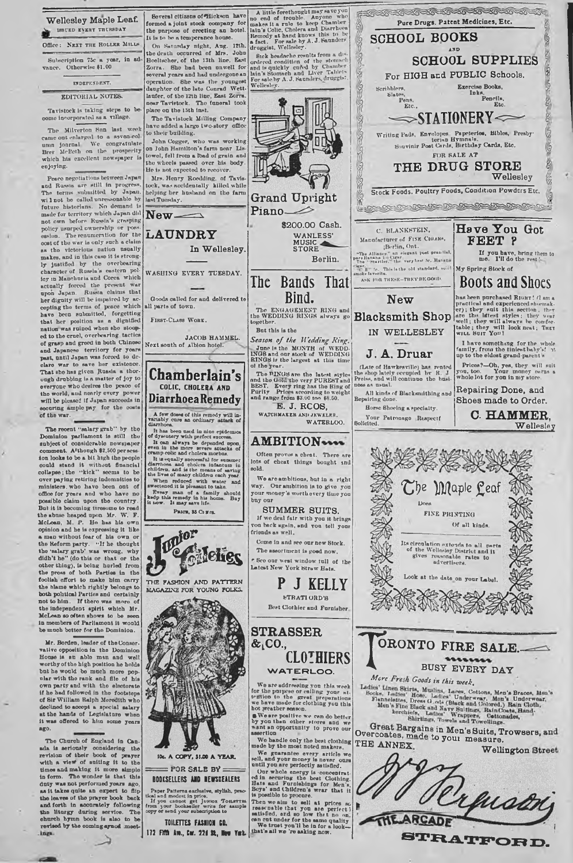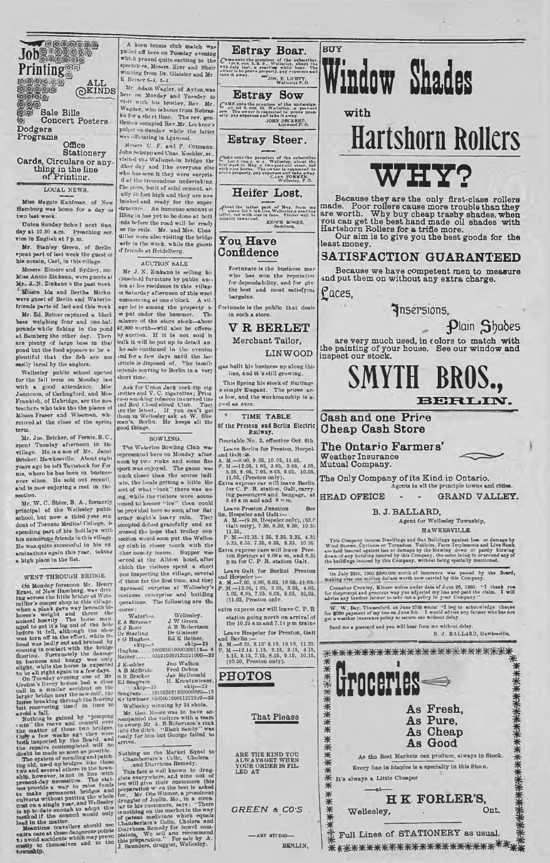**~ " 1 ® ® A L L**  $\overset{\text{ALL}}{\underset{\text{O}}{\bigcirc}}$ 医动脉 **Sale Bills** Concert Posters **Dodgers Programs Office**

**Printing** 

**Stationery Cards, Circulars or anything in the line ofPrintiner.**

LOCAL NEWS.

**M iss Maggio Kaufman, of New H am burg w a » homo for a day or two last week.**

**Union Sunday Schowl next Sun**<br>west 10.30 a.m. Preaching ser **day at 10.30 a.m. Preaching** *net* **vice in English at 7 p 'm .**

**Mr. Btanley Green, of Berlin**<br>**\*pent part of last week the guest of his cousin, Carl, in this village.**

**Messrs. Elmore and Sydney, am M iss Annio Zinkann, were guests at M r. Zinkann\*h the past week Misses Ida and Bertha Mtckuwere guest of Berlin and Watorlo. friends parte of last and this week**

Mr. Ed. Reiner captured a black **bass weighing four and one-hall**<br>**pounds while fishing in the pond at Batnberg the other day. Then nre plenty of lurgo bass in that pond but the food appears to be » plentiful that the fish aro noi easily lured by the anglers.**

Wellestoy public sensor) operacing the fall term on Monday last<br>with a good attendance. Mis-<br>Jamieson, of Carlingford, and Mis-<br>Frankish, of Uxbridge, are the new<br>Etachers who take the the blaces of **Misses Fraser and W iseman, wb< retired at the close of tlio spring term.**

Mr. Jos. Bricker, of Fornio, B.C. **spent Tuesday afternoon in tb« village. He is a son of M r. Jacol Brickcr, Hawkesvillo. Atx>at eight years ago he loft Tavistock for For nie, where he has been in businessever since. Ho sold ont recoutl. and is now en joying a rest in thi? section.**

Mr. W. C. Shier, B. A., formerly **principal of the Wellesley public** chool, but now a third-year student of Toronto Medical College, is<br>spending part of his holilays with **spending part of his holidays with his numerun\* friends in this village H e was qnito successful in his ex aminations again this year, taking a high place in tbo list.**

WENT TRINUCTED and the method of the method of the Monday for the second that is a second that the second that the second the method of the thin this village the second the second three the second three second three second

**fotbing is gained by "jumping** 

 $\alpha$ <sup>1</sup> the roots and concelled the matter of these two bridges is a factor of these two bridges is a factor of these two relations about the matter of these two relations about the concelled the concelled the state of th

A keen tennis club match was<br>
pulled off hero on Tuesday evening<br>
which proved quite exciting to the<br>
spectators, Messrs. Kerr and Sbeir **winning from Dr. Glaistcr and M r. E. Reiner 6-1, fl-i.**

ace Adam Wagler, of Ayton,was<br>here on Monday and Tuesday to<br>**Wagner**, who is home from Nebras-<br>Wagner, who is home from Nebras**ka fur a sbert time. The rev. gen-tleuiiin occupied Rev.M r. Lockner'c pnl|»it on Snndnv while tho latter was officiating in Lin wood.**

**Messrs. C. F. and P. Ottmann. John Ko-huppandCbas. Kouhlor, sr.. visited tli.t Wallenstein hridgo thr ither day and like everyono else**<br>who has seen it they were surpris-<br>d at the tremondous undertaking.<br>The piers, built of solid cement, ar**ully CO foot high and they aro now ioi»hed and ready for tho super structure. An immenso amount ol** integra has yet to be done at both and the ready<br>or the rails. Mr. and Mrs. Chas<br>or the rails. Mr. and Mrs. Chas<br>affly in the week, while the pridge<br>arity in the week, while the guest<br>of friends at Heidelberg.

**A U C T IO N B ALE**

**Mr J, N . Zinkann is selling hiiDuaehold furniture by public am ion at his residence in this village >n Saturday afternoon of this weel -ommeneing at one o'clock. A vil-\* age lot is among tbo property t« » pnt under tho hammer. Thi mlunce o f tho store stock— abont <2,000 worth— w iil also be offortv by auction. If it is not sold it bulk it will bo pnt np in detail an ho sale continued iu the evening tnd for a few days until tbo las' irticle is disposed of. 'Vbo family intends moving to Berlin in a verj short tiifte.**

Ask for Union Jack cork-tip eig.<br>
rattles and V. C. eigenvettes; Prim<br>
ro-o smaking tobacco in curved time<br>
ro-o smaking tobacco in curved time<br>
rate the latest, If you can't get<br>
them in Wellesley sak at W. Slie<br>
man'a, B

BOWLING.<br>The Waterloo Bowling Club was The Waterloo Bowling Club was<br>copresented bero on Monday after<br>accon by two rinks and some fine<br>port was enjoyed. The game was<br>uch closer than the sores indi<br>acto, the locals getting a little the **ant of whut - lo c k " thoro was go ng, while tho visitors were accus-tomed to keener - i c e " tlinn could bo provided here so sooq utter Bat un lay n ight's heavy rain. They icccpted defeat gracefully and ox .tressed the bojw that trolley con lection would soon put the W elles .oy clnb in closer touch with the -thor coutity teams. Supper was served ut the Albion hotel, after .vbich tho visitors spent a short pne inspecting the villago, several >f them for the first time, and they xpres\*ed surprise ut W e llesley 's imsiness enterprise and building >]>orations. Tho fo llow ing are thi -cores:**

|              | $\sim$ with conservation and the same $\sim$ $\sim$ |
|--------------|-----------------------------------------------------|
|              | ousiness enterprise and building                    |
|              | merations. The following are the                    |
| -COPOR:      |                                                     |
| Waterloo.    | Wellesley.                                          |
| E A Strunner | J W Green                                           |
| E.J. Roos    | A B Robertson                                       |
| Dr Sterling  | Dr Glaimer                                          |
| e G Hughes.  | Ed K Reiner.<br><b>Call Ave</b>                     |
|              |                                                     |

**t G Hughes. Eil K Reiner, sktp—■' skip— 23 Hughes.......**2000010100000001**12— 8 Reiner........ 031310202132221000— 32**

J Koolter and Youton Watton<br>A B McBride Fred Debus<br>S B Bricker Jas McDonald<br>Ed Searram, H. Kreutzwieser,<br>skip-13<br>Seagram ....101013022100000020021-13<br>Krigstey winning by 24 shots.<br>Wellesley winning by 24 shots.

Mr. Geo. Moore was to have a<br>companied the visitors with a team<br>to sweep Mr. A. B.Robertson's rink<br>into the ditch. "Black Sandy" was<br>rendy for him but George failed to<br>arrive.

Nothing on the Markter Equation Control (Square control Charles Control and Distributed This fact is well known to drug-<br>This fact is well known to drug-<br>This fact is well known to drug-<br>giate overywhere, and not control g

Estray Boar. p im o mato the premisses of the subscriber.<br>  $\mathbb{R}^{13}$  is it, can x. E.S.. Wellseley, about the<br>  $\mathbb{R}^{13}$  July Last, a yearling while boar. The<br>
date it away. JOS. E. LICHTY,

Estray Sow C AM K onto the premises of the undersign.<br>
sow The owner li requested to prove prop-<br>
etty, pay expenses and take it away.

**Estray Steer.**

The onto the pseudose of the subscribes<br>
Lot a conduction will be seeking that we is the weak in the<br>
seekin May, a two-year old steer, red<br>
with nice horm. The owner is requested to<br>
with elements<br>
C.IAM FOMMEN,<br>
C.IAM FO

**Heifer Lost.**

ydbnut the latter part of May. from my •" place lot ». Mb line.Wellealey.a yearling 'lelfer, rod with •»ar in faeo. Finder will 1m -nitably rewarded. ENOCH MOSER. **Oaotber\*.**

#### You Have **Confidence**

Fortunate is the business mar **who has won tho repntatioi for dependability, and for giv the best and most satisfyinj. bargains.**

**Fortunate is tho pnblio that deals in such a store.**

#### **V R B E R L E T**

**Merchant Tailor,** LINWOOD

**Has bnllt hi-\* bnsines\* np along this** line, and it 's still growing

**This Spring his stock of Suitings.**<br>**s simply Elegant.** The prices are **ts low , and the workmunship is a-g\*w»d as ever.**

**TIME TABLE** 

**Of the Preston and Berlin Electric Railway.**

Finetable No. 3, effective Oct. 6th.<br>
Lawee Berlin for Preston, Herpel.<br>
1.  $M = 8.00$ , 9.05, 10.05, 11.05,<br>
2. N.  $-8.00$ , 9.05, 10.05, 3.06, 4.05,<br>
5.05, 6.05, 7.05, 8.55, 9.05, 10.05,<br>
5.05, 6.05, 7.05, 8.55, 9.05, 10.0

**Leave Preston Junction**<br> **lin, Hespeler and Galt :—**<br> **A. M.—(9.20, Hespeler only), (63.0**<br> **Galt only), 7.30, 8.30, 9.30, 10.35** 

11.55.<br>P. M. – 12.35. 1 35, 2.35, 3.35, 4.35<br>5.35, 6.35, 7.35, 8 35, 9.35, 10.35<br>Extra express cars will leave Press<br>ton Springs at 9.08 a m, and 6.35<br>p n for C. P. R. station Galt.

Leave Galt for Berlini Preston<br>A. M.--7.00, 8.00, 0.05, 10.05, 11.05,<br>P. M.--12.05, 1 05, 2.05, 3.05, 4.05,<br>5.05, 6.05, 6.05, 2.05, 3.05, 10,05,<br>(11.05, Preston only.

extra express car will leave C. P. R **station going north on arriva l of the IQ.25 a m and 7.14 p m trains**

Leave Hespeler for Preston, Gall<br>and Borlin :-<br>A. M. --6.35, 6.10' 9.10, 10.10, 11.35.<br>P. M. --12.14. 1.15. 2.15, 3.15, 4.15,<br>6.15, 9.15, 7.15, 8.15, 9.15, 10.15,<br>(10.50, Preston only).

**PHO TOS**

**That Please**

ARE THE KIND YOU<br>ALWAY8GET WHEN<br>YOUR ORDER IS FIL<br>LED AT

*G R E E N & co-s* **.**

**---- ART STUDIO----- BERLIN,** 

# **Window Shales**

**w ith**

**B U Y**

## **Hartshorn Rollers** WHY?

**Because thev are the only first-class rollers made. Poor rollers cause more trouble than they are worth. W h v buy cheap trashy shades, when you can get the best hand made oil shades with Hartshorn Rollers for a trifle more. Our aim is to give you the best goods for the**

**least money.**

### **SATISFACTION GUARANTEED**

**Because we have competent men to measure and put them on without any extra charge.**

**£ a c e s ,**

**< fn sers ion s ,**

**Plain Shades** 

**are very much used, in colors to match with the painting of your house. See our window and inspect our stock.**

### **SMYTH BROS.,** BERLIN.

**Cash and one Pri^e Cheap Cash Store**

**The Ontario Farmers' Weather Insurance Mutual Company.**

The Only Company of its Kind in Ontario. Agents in all the principle town

HEAD OFEICE - - GRAND VALLEY.

#### **B. J. B A LL A R D , Agent for W ellesley Township,**

**H A W K E 8 V IL L E . .**

This Company incures Dwellings and Out Buildings spains toss or damage by<br>Wind Storent, Cyclones or Tornadosa, Valicles, Farm Implements and Live Stock<br>are lied insured against less or damage by the blowing down or partly

On July 29th. 1905 \$500,000 worth of insurance was passed by the Board, making over one million dollars worth now carried by this Company.

Cornelius Crowley, Kinore writes under date of June 26, 1905: "I thank you<br>for the prompt and generous way you adjusted my loss and paid the claim. I will<br>advise any brother farmer to take out a policy in your Company."

W. W. Day. Thamesford, on June 27th wrote: "I beg to acknowledge chaque<br>for \$2000 payment of my ioss on June 5th. I would advise any farmer who bas not<br>got a weather insurance policy to secure one without delay.

Send me a poitcard and you will bear from me without delay. **B. J. BALLARD , Uawkwrilte,**



**SK ------------------- ------------------------- Full Lines o f S T A T IO N E R Y as usual. I \*\*\*\*\*\*\***